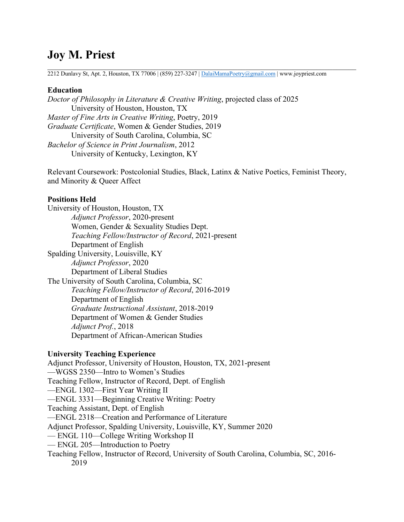# **Joy M. Priest**

2212 Dunlavy St, Apt. 2, Houston, TX 77006 | (859) 227-3247 | DalaiMamaPoetry@gmail.com | www.joypriest.com

### **Education**

*Doctor of Philosophy in Literature & Creative Writing*, projected class of 2025 University of Houston, Houston, TX *Master of Fine Arts in Creative Writing*, Poetry, 2019 *Graduate Certificate*, Women & Gender Studies, 2019 University of South Carolina, Columbia, SC *Bachelor of Science in Print Journalism*, 2012 University of Kentucky, Lexington, KY

Relevant Coursework: Postcolonial Studies, Black, Latinx & Native Poetics, Feminist Theory, and Minority & Queer Affect

### **Positions Held**

University of Houston, Houston, TX *Adjunct Professor*, 2020-present Women, Gender & Sexuality Studies Dept. *Teaching Fellow/Instructor of Record*, 2021-present Department of English Spalding University, Louisville, KY *Adjunct Professor*, 2020 Department of Liberal Studies The University of South Carolina, Columbia, SC *Teaching Fellow/Instructor of Record*, 2016-2019 Department of English *Graduate Instructional Assistant*, 2018-2019 Department of Women & Gender Studies *Adjunct Prof.*, 2018 Department of African-American Studies

### **University Teaching Experience**

Adjunct Professor, University of Houston, Houston, TX, 2021-present —WGSS 2350—Intro to Women's Studies Teaching Fellow, Instructor of Record, Dept. of English —ENGL 1302—First Year Writing II —ENGL 3331—Beginning Creative Writing: Poetry Teaching Assistant, Dept. of English —ENGL 2318—Creation and Performance of Literature Adjunct Professor, Spalding University, Louisville, KY, Summer 2020 — ENGL 110—College Writing Workshop II — ENGL 205—Introduction to Poetry Teaching Fellow, Instructor of Record, University of South Carolina, Columbia, SC, 2016-

2019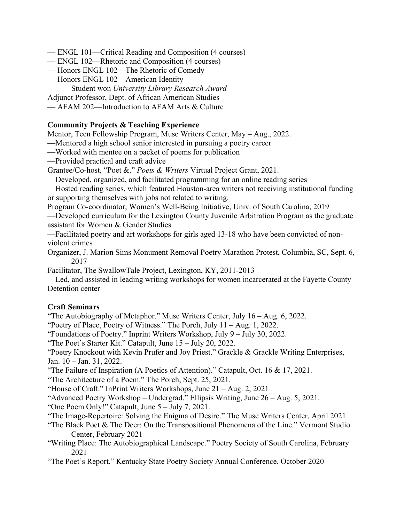- ENGL 101—Critical Reading and Composition (4 courses)
- ENGL 102—Rhetoric and Composition (4 courses)
- Honors ENGL 102—The Rhetoric of Comedy
- Honors ENGL 102—American Identity Student won *University Library Research Award*

Adjunct Professor, Dept. of African American Studies

— AFAM 202—Introduction to AFAM Arts & Culture

### **Community Projects & Teaching Experience**

Mentor, Teen Fellowship Program, Muse Writers Center, May – Aug., 2022.

—Mentored a high school senior interested in pursuing a poetry career

—Worked with mentee on a packet of poems for publication

—Provided practical and craft advice

Grantee/Co-host, "Poet &." *Poets & Writers* Virtual Project Grant, 2021.

—Developed, organized, and facilitated programming for an online reading series

—Hosted reading series, which featured Houston-area writers not receiving institutional funding or supporting themselves with jobs not related to writing.

Program Co-coordinator, Women's Well-Being Initiative, Univ. of South Carolina, 2019 —Developed curriculum for the Lexington County Juvenile Arbitration Program as the graduate

assistant for Women & Gender Studies

—Facilitated poetry and art workshops for girls aged 13-18 who have been convicted of nonviolent crimes

Organizer, J. Marion Sims Monument Removal Poetry Marathon Protest, Columbia, SC, Sept. 6, 2017

Facilitator, The SwallowTale Project, Lexington, KY, 2011-2013

—Led, and assisted in leading writing workshops for women incarcerated at the Fayette County Detention center

#### **Craft Seminars**

"The Autobiography of Metaphor." Muse Writers Center, July 16 – Aug. 6, 2022.

"Poetry of Place, Poetry of Witness." The Porch, July 11 – Aug. 1, 2022.

"Foundations of Poetry." Inprint Writers Workshop, July 9 – July 30, 2022.

"The Poet's Starter Kit." Catapult, June 15 – July 20, 2022.

"Poetry Knockout with Kevin Prufer and Joy Priest." Grackle & Grackle Writing Enterprises, Jan. 10 – Jan. 31, 2022.

"The Failure of Inspiration (A Poetics of Attention)." Catapult, Oct. 16 & 17, 2021.

"The Architecture of a Poem." The Porch, Sept. 25, 2021.

"House of Craft." InPrint Writers Workshops, June 21 – Aug. 2, 2021

"Advanced Poetry Workshop – Undergrad." Ellipsis Writing, June 26 – Aug. 5, 2021.

"One Poem Only!" Catapult, June 5 – July 7, 2021.

"The Image-Repertoire: Solving the Enigma of Desire." The Muse Writers Center, April 2021

"The Black Poet & The Deer: On the Transpositional Phenomena of the Line." Vermont Studio Center, February 2021

"Writing Place: The Autobiographical Landscape." Poetry Society of South Carolina, February 2021

"The Poet's Report." Kentucky State Poetry Society Annual Conference, October 2020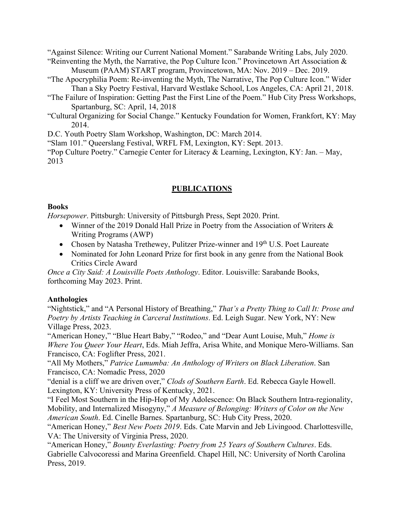"Against Silence: Writing our Current National Moment." Sarabande Writing Labs, July 2020. "Reinventing the Myth, the Narrative, the Pop Culture Icon." Provincetown Art Association &

Museum (PAAM) START program, Provincetown, MA: Nov. 2019 – Dec. 2019.

"The Apocryphilia Poem: Re-inventing the Myth, The Narrative, The Pop Culture Icon." Wider Than a Sky Poetry Festival, Harvard Westlake School, Los Angeles, CA: April 21, 2018.

- "The Failure of Inspiration: Getting Past the First Line of the Poem." Hub City Press Workshops, Spartanburg, SC: April, 14, 2018
- "Cultural Organizing for Social Change." Kentucky Foundation for Women, Frankfort, KY: May 2014.

D.C. Youth Poetry Slam Workshop, Washington, DC: March 2014.

"Slam 101." Queerslang Festival, WRFL FM, Lexington, KY: Sept. 2013.

"Pop Culture Poetry." Carnegie Center for Literacy & Learning, Lexington, KY: Jan. – May, 2013

### **PUBLICATIONS**

### **Books**

*Horsepower*. Pittsburgh: University of Pittsburgh Press, Sept 2020. Print.

- Winner of the 2019 Donald Hall Prize in Poetry from the Association of Writers & Writing Programs (AWP)
- Chosen by Natasha Trethewey, Pulitzer Prize-winner and 19<sup>th</sup> U.S. Poet Laureate
- Nominated for John Leonard Prize for first book in any genre from the National Book Critics Circle Award

*Once a City Said: A Louisville Poets Anthology*. Editor. Louisville: Sarabande Books, forthcoming May 2023. Print.

## **Anthologies**

"Nightstick," and "A Personal History of Breathing," *That's a Pretty Thing to Call It: Prose and Poetry by Artists Teaching in Carceral Institutions*. Ed. Leigh Sugar. New York, NY: New Village Press, 2023.

"American Honey," "Blue Heart Baby," "Rodeo," and "Dear Aunt Louise, Muh," *Home is Where You Queer Your Heart*, Eds. Miah Jeffra, Arisa White, and Monique Mero-Williams. San Francisco, CA: Foglifter Press, 2021.

"All My Mothers," *Patrice Lumumba: An Anthology of Writers on Black Liberation*. San Francisco, CA: Nomadic Press, 2020

"denial is a cliff we are driven over," *Clods of Southern Earth*. Ed. Rebecca Gayle Howell. Lexington, KY: University Press of Kentucky, 2021.

"I Feel Most Southern in the Hip-Hop of My Adolescence: On Black Southern Intra-regionality, Mobility, and Internalized Misogyny," *A Measure of Belonging: Writers of Color on the New American South*. Ed. Cinelle Barnes. Spartanburg, SC: Hub City Press, 2020.

"American Honey," *Best New Poets 2019*. Eds. Cate Marvin and Jeb Livingood. Charlottesville, VA: The University of Virginia Press, 2020.

"American Honey," *Bounty Everlasting: Poetry from 25 Years of Southern Cultures*. Eds. Gabrielle Calvocoressi and Marina Greenfield. Chapel Hill, NC: University of North Carolina Press, 2019.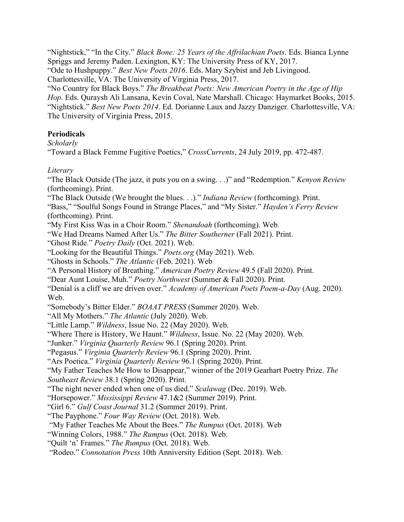"Nightstick," "In the City." *Black Bone: 25 Years of the Affrilachian Poets*. Eds. Bianca Lynne Spriggs and Jeremy Paden. Lexington, KY: The University Press of KY, 2017. "Ode to Hushpuppy." *Best New Poets 2016*. Eds. Mary Szybist and Jeb Livingood. Charlottesville, VA: The University of Virginia Press, 2017. "No Country for Black Boys." *The Breakbeat Poets: New American Poetry in the Age of Hip Hop*. Eds. Quraysh Ali Lansana, Kevin Coval, Nate Marshall. Chicago: Haymarket Books, 2015. "Nightstick." *Best New Poets 2014*. Ed. Dorianne Laux and Jazzy Danziger. Charlottesville, VA: The University of Virginia Press, 2015.

### **Periodicals**

*Scholarly*

"Toward a Black Femme Fugitive Poetics," *CrossCurrents*, 24 July 2019, pp. 472-487.

### *Literary*

"The Black Outside (The jazz, it puts you on a swing. . .)" and "Redemption." *Kenyon Review* (forthcoming). Print. "The Black Outside (We brought the blues. . .)." *Indiana Review* (forthcoming). Print. "Bass," "Soulful Songs Found in Strange Places," and "My Sister." *Hayden's Ferry Review* (forthcoming). Print. "My First Kiss Was in a Choir Room." *Shenandoah* (forthcoming). Web. "We Had Dreams Named After Us." *The Bitter Southerner* (Fall 2021). Print. "Ghost Ride." *Poetry Daily* (Oct. 2021). Web. "Looking for the Beautiful Things." *Poets.org* (May 2021). Web. "Ghosts in Schools." *The Atlantic* (Feb. 2021). Web "A Personal History of Breathing." *American Poetry Review* 49.5 (Fall 2020). Print. "Dear Aunt Louise, Muh." *Poetry Northwest* (Summer & Fall 2020). Print. "Denial is a cliff we are driven over." *Academy of American Poets Poem-a-Day* (Aug. 2020). Web. "Somebody's Bitter Elder." *BOAAT PRESS* (Summer 2020). Web. "All My Mothers." *The Atlantic* (July 2020). Web. "Little Lamp." *Wildness*, Issue No. 22 (May 2020). Web. "Where There is History, We Haunt." *Wildness*, Issue. No. 22 (May 2020). Web. "Junker." *Virginia Quarterly Review* 96.1 (Spring 2020). Print. "Pegasus." *Virginia Quarterly Review* 96.1 (Spring 2020). Print. "Ars Poetica." *Virginia Quarterly Review* 96.1 (Spring 2020). Print. "My Father Teaches Me How to Disappear," winner of the 2019 Gearhart Poetry Prize. *The Southeast Review* 38.1 (Spring 2020). Print. "The night never ended when one of us died." *Scalawag* (Dec. 2019). Web. "Horsepower." *Mississippi Review* 47.1&2 (Summer 2019). Print. "Girl 6." *Gulf Coast Journal* 31.2 (Summer 2019). Print. "The Payphone." *Four Way Review* (Oct. 2018). Web. "My Father Teaches Me About the Bees." *The Rumpus* (Oct. 2018). Web "Winning Colors, 1988." *The Rumpus* (Oct. 2018). Web. "Quilt 'n' Frames." *The Rumpus* (Oct. 2018). Web. "Rodeo." *Connotation Press* 10th Anniversity Edition (Sept. 2018). Web.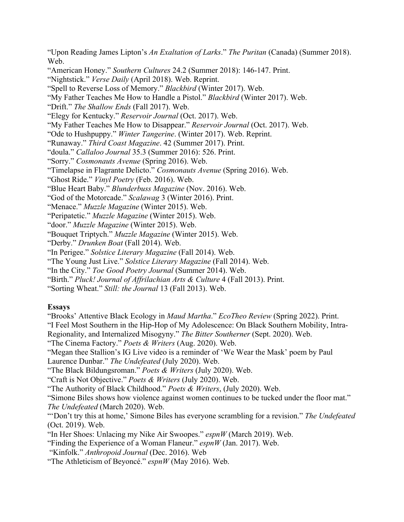"Upon Reading James Lipton's *An Exaltation of Larks*." *The Puritan* (Canada) (Summer 2018). Web.

"American Honey." *Southern Cultures* 24.2 (Summer 2018): 146-147. Print.

"Nightstick." *Verse Daily* (April 2018). Web. Reprint.

"Spell to Reverse Loss of Memory." *Blackbird* (Winter 2017). Web.

"My Father Teaches Me How to Handle a Pistol." *Blackbird* (Winter 2017). Web.

"Drift." *The Shallow Ends* (Fall 2017). Web.

"Elegy for Kentucky." *Reservoir Journal* (Oct. 2017). Web.

"My Father Teaches Me How to Disappear." *Reservoir Journal* (Oct. 2017). Web.

"Ode to Hushpuppy." *Winter Tangerine*. (Winter 2017). Web. Reprint.

"Runaway." *Third Coast Magazine*. 42 (Summer 2017). Print.

"doula." *Callaloo Journal* 35.3 (Summer 2016): 526. Print.

"Sorry." *Cosmonauts Avenue* (Spring 2016). Web.

"Timelapse in Flagrante Delicto." *Cosmonauts Avenue* (Spring 2016). Web.

"Ghost Ride." *Vinyl Poetry* (Feb. 2016). Web.

"Blue Heart Baby." *Blunderbuss Magazine* (Nov. 2016). Web.

"God of the Motorcade." *Scalawag* 3 (Winter 2016). Print.

"Menace." *Muzzle Magazine* (Winter 2015). Web.

"Peripatetic." *Muzzle Magazine* (Winter 2015). Web.

"door." *Muzzle Magazine* (Winter 2015). Web.

"Bouquet Triptych." *Muzzle Magazine* (Winter 2015). Web.

"Derby." *Drunken Boat* (Fall 2014). Web.

"In Perigee." *Solstice Literary Magazine* (Fall 2014). Web.

"The Young Just Live." *Solstice Literary Magazine* (Fall 2014). Web.

"In the City." *Toe Good Poetry Journal* (Summer 2014). Web.

"Birth." *Pluck! Journal of Affrilachian Arts & Culture* 4 (Fall 2013). Print.

"Sorting Wheat." *Still: the Journal* 13 (Fall 2013). Web.

#### **Essays**

"Brooks' Attentive Black Ecology in *Maud Martha*." *EcoTheo Review* (Spring 2022). Print.

"I Feel Most Southern in the Hip-Hop of My Adolescence: On Black Southern Mobility, Intra-

Regionality, and Internalized Misogyny." *The Bitter Southerner* (Sept. 2020). Web.

"The Cinema Factory." *Poets & Writers* (Aug. 2020). Web.

"Megan thee Stallion's IG Live video is a reminder of 'We Wear the Mask' poem by Paul Laurence Dunbar." *The Undefeated* (July 2020). Web.

"The Black Bildungsroman." *Poets & Writers* (July 2020). Web.

"Craft is Not Objective." *Poets & Writers* (July 2020). Web.

"The Authority of Black Childhood." *Poets & Writers*, (July 2020). Web.

"Simone Biles shows how violence against women continues to be tucked under the floor mat." *The Undefeated* (March 2020). Web.

"'Don't try this at home,' Simone Biles has everyone scrambling for a revision." *The Undefeated* (Oct. 2019). Web.

"In Her Shoes: Unlacing my Nike Air Swoopes." *espnW* (March 2019). Web.

"Finding the Experience of a Woman Flaneur." *espnW* (Jan. 2017). Web.

"Kinfolk." *Anthropoid Journal* (Dec. 2016). Web

"The Athleticism of Beyoncé." *espnW* (May 2016). Web.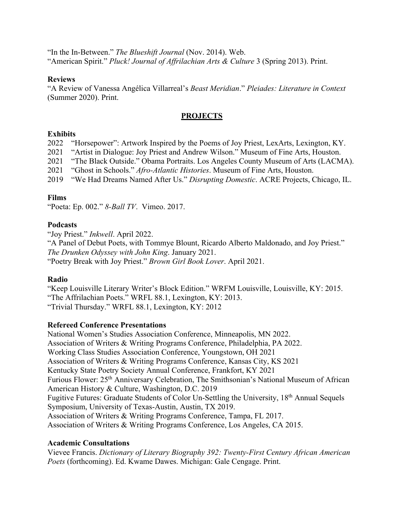"In the In-Between." *The Blueshift Journal* (Nov. 2014). Web. "American Spirit." *Pluck! Journal of Affrilachian Arts & Culture* 3 (Spring 2013). Print.

#### **Reviews**

"A Review of Vanessa Angélica Villarreal's *Beast Meridian*." *Pleiades: Literature in Context* (Summer 2020). Print.

### **PROJECTS**

### **Exhibits**

2022 "Horsepower": Artwork Inspired by the Poems of Joy Priest, LexArts, Lexington, KY.

2021 "Artist in Dialogue: Joy Priest and Andrew Wilson." Museum of Fine Arts, Houston.

2021 "The Black Outside." Obama Portraits. Los Angeles County Museum of Arts (LACMA).

2021 "Ghost in Schools." *Afro-Atlantic Histories*. Museum of Fine Arts, Houston.

2019 "We Had Dreams Named After Us." *Disrupting Domestic*. ACRE Projects, Chicago, IL.

### **Films**

"Poeta: Ep. 002." *8-Ball TV*. Vimeo. 2017.

### **Podcasts**

"Joy Priest." *Inkwell*. April 2022.

"A Panel of Debut Poets, with Tommye Blount, Ricardo Alberto Maldonado, and Joy Priest." *The Drunken Odyssey with John King*. January 2021. "Poetry Break with Joy Priest." *Brown Girl Book Lover*. April 2021.

## **Radio**

"Keep Louisville Literary Writer's Block Edition." WRFM Louisville, Louisville, KY: 2015. "The Affrilachian Poets." WRFL 88.1, Lexington, KY: 2013. "Trivial Thursday." WRFL 88.1, Lexington, KY: 2012

### **Refereed Conference Presentations**

National Women's Studies Association Conference, Minneapolis, MN 2022. Association of Writers & Writing Programs Conference, Philadelphia, PA 2022. Working Class Studies Association Conference, Youngstown, OH 2021 Association of Writers & Writing Programs Conference, Kansas City, KS 2021 Kentucky State Poetry Society Annual Conference, Frankfort, KY 2021 Furious Flower: 25<sup>th</sup> Anniversary Celebration, The Smithsonian's National Museum of African American History & Culture, Washington, D.C. 2019 Fugitive Futures: Graduate Students of Color Un-Settling the University, 18th Annual Sequels Symposium, University of Texas-Austin, Austin, TX 2019. Association of Writers & Writing Programs Conference, Tampa, FL 2017. Association of Writers & Writing Programs Conference, Los Angeles, CA 2015.

### **Academic Consultations**

Vievee Francis. *Dictionary of Literary Biography 392: Twenty-First Century African American Poets* (forthcoming). Ed. Kwame Dawes. Michigan: Gale Cengage. Print.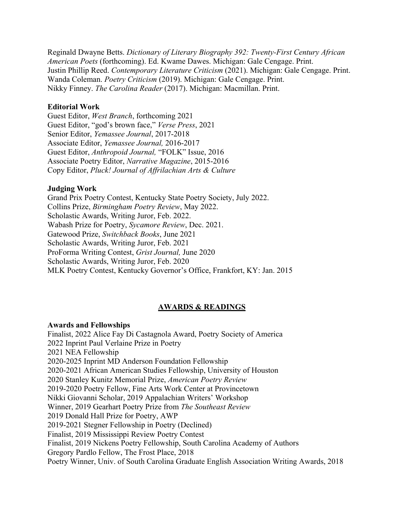Reginald Dwayne Betts. *Dictionary of Literary Biography 392: Twenty-First Century African American Poets* (forthcoming). Ed. Kwame Dawes. Michigan: Gale Cengage. Print. Justin Phillip Reed. *Contemporary Literature Criticism* (2021). Michigan: Gale Cengage. Print. Wanda Coleman. *Poetry Criticism* (2019). Michigan: Gale Cengage. Print. Nikky Finney. *The Carolina Reader* (2017). Michigan: Macmillan. Print.

#### **Editorial Work**

Guest Editor, *West Branch*, forthcoming 2021 Guest Editor, "god's brown face," *Verse Press*, 2021 Senior Editor, *Yemassee Journal*, 2017-2018 Associate Editor, *Yemassee Journal,* 2016-2017 Guest Editor, *Anthropoid Journal,* "FOLK" Issue, 2016 Associate Poetry Editor, *Narrative Magazine*, 2015-2016 Copy Editor, *Pluck! Journal of Affrilachian Arts & Culture*

### **Judging Work**

Grand Prix Poetry Contest, Kentucky State Poetry Society, July 2022. Collins Prize, *Birmingham Poetry Review*, May 2022. Scholastic Awards, Writing Juror, Feb. 2022. Wabash Prize for Poetry, *Sycamore Review*, Dec. 2021. Gatewood Prize, *Switchback Books*, June 2021 Scholastic Awards, Writing Juror, Feb. 2021 ProForma Writing Contest, *Grist Journal,* June 2020 Scholastic Awards, Writing Juror, Feb. 2020 MLK Poetry Contest, Kentucky Governor's Office, Frankfort, KY: Jan. 2015

#### **AWARDS & READINGS**

#### **Awards and Fellowships**

Finalist, 2022 Alice Fay Di Castagnola Award, Poetry Society of America 2022 Inprint Paul Verlaine Prize in Poetry 2021 NEA Fellowship 2020-2025 Inprint MD Anderson Foundation Fellowship 2020-2021 African American Studies Fellowship, University of Houston 2020 Stanley Kunitz Memorial Prize, *American Poetry Review* 2019-2020 Poetry Fellow, Fine Arts Work Center at Provincetown Nikki Giovanni Scholar, 2019 Appalachian Writers' Workshop Winner, 2019 Gearhart Poetry Prize from *The Southeast Review*  2019 Donald Hall Prize for Poetry, AWP 2019-2021 Stegner Fellowship in Poetry (Declined) Finalist, 2019 Mississippi Review Poetry Contest Finalist, 2019 Nickens Poetry Fellowship, South Carolina Academy of Authors Gregory Pardlo Fellow, The Frost Place, 2018 Poetry Winner, Univ. of South Carolina Graduate English Association Writing Awards, 2018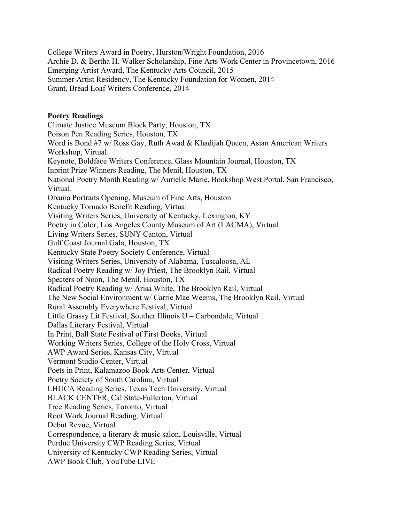College Writers Award in Poetry, Hurston/Wright Foundation, 2016 Archie D. & Bertha H. Walker Scholarship, Fine Arts Work Center in Provincetown, 2016 Emerging Artist Award, The Kentucky Arts Council, 2015 Summer Artist Residency, The Kentucky Foundation for Women, 2014 Grant, Bread Loaf Writers Conference, 2014

#### **Poetry Readings**

Climate Justice Museum Block Party, Houston, TX Poison Pen Reading Series, Houston, TX Word is Bond #7 w/ Ross Gay, Ruth Awad & Khadijah Queen, Asian American Writers Workshop, Virtual Keynote, Boldface Writers Conference, Glass Mountain Journal, Houston, TX Inprint Prize Winners Reading, The Menil, Houston, TX National Poetry Month Reading w/ Aurielle Marie, Bookshop West Portal, San Francisco, Virtual. Obama Portraits Opening, Museum of Fine Arts, Houston Kentucky Tornado Benefit Reading, Virtual Visiting Writers Series, University of Kentucky, Lexington, KY Poetry in Color, Los Angeles County Museum of Art (LACMA), Virtual Living Writers Series, SUNY Canton, Virtual Gulf Coast Journal Gala, Houston, TX Kentucky State Poetry Society Conference, Virtual Visiting Writers Series, University of Alabama, Tuscaloosa, AL Radical Poetry Reading w/ Joy Priest, The Brooklyn Rail, Virtual Specters of Noon, The Menil, Houston, TX Radical Poetry Reading w/ Arisa White, The Brooklyn Rail, Virtual The New Social Environment w/ Carrie Mae Weems, The Brooklyn Rail, Virtual Rural Assembly Everywhere Festival, Virtual Little Grassy Lit Festival, Souther Illinois U – Carbondale, Virtual Dallas Literary Festival, Virtual In Print, Ball State Festival of First Books, Virtual Working Writers Series, College of the Holy Cross, Virtual AWP Award Series, Kansas City, Virtual Vermont Studio Center, Virtual Poets in Print, Kalamazoo Book Arts Center, Virtual Poetry Society of South Carolina, Virtual LHUCA Reading Series, Texas Tech University, Virtual BLACK CENTER, Cal State-Fullerton, Virtual Tree Reading Series, Toronto, Virtual Root Work Journal Reading, Virtual Debut Revue, Virtual Correspondence, a literary & music salon, Louisville, Virtual Purdue University CWP Reading Series, Virtual University of Kentucky CWP Reading Series, Virtual AWP Book Club, YouTube LIVE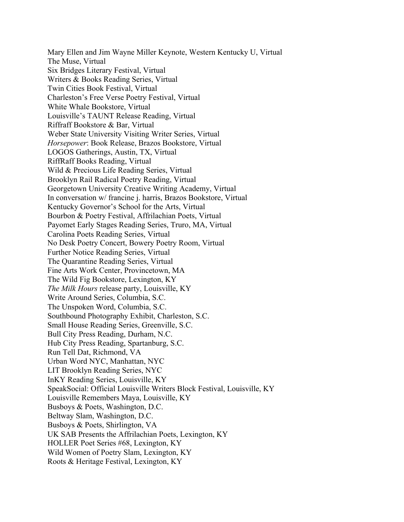Mary Ellen and Jim Wayne Miller Keynote, Western Kentucky U, Virtual The Muse, Virtual Six Bridges Literary Festival, Virtual Writers & Books Reading Series, Virtual Twin Cities Book Festival, Virtual Charleston's Free Verse Poetry Festival, Virtual White Whale Bookstore, Virtual Louisville's TAUNT Release Reading, Virtual Riffraff Bookstore & Bar, Virtual Weber State University Visiting Writer Series, Virtual *Horsepower*: Book Release, Brazos Bookstore, Virtual LOGOS Gatherings, Austin, TX, Virtual RiffRaff Books Reading, Virtual Wild & Precious Life Reading Series, Virtual Brooklyn Rail Radical Poetry Reading, Virtual Georgetown University Creative Writing Academy, Virtual In conversation w/ francine j. harris, Brazos Bookstore, Virtual Kentucky Governor's School for the Arts, Virtual Bourbon & Poetry Festival, Affrilachian Poets, Virtual Payomet Early Stages Reading Series, Truro, MA, Virtual Carolina Poets Reading Series, Virtual No Desk Poetry Concert, Bowery Poetry Room, Virtual Further Notice Reading Series, Virtual The Quarantine Reading Series, Virtual Fine Arts Work Center, Provincetown, MA The Wild Fig Bookstore, Lexington, KY *The Milk Hours* release party, Louisville, KY Write Around Series, Columbia, S.C. The Unspoken Word, Columbia, S.C. Southbound Photography Exhibit, Charleston, S.C. Small House Reading Series, Greenville, S.C. Bull City Press Reading, Durham, N.C. Hub City Press Reading, Spartanburg, S.C. Run Tell Dat, Richmond, VA Urban Word NYC, Manhattan, NYC LIT Brooklyn Reading Series, NYC InKY Reading Series, Louisville, KY SpeakSocial: Official Louisville Writers Block Festival, Louisville, KY Louisville Remembers Maya, Louisville, KY Busboys & Poets, Washington, D.C. Beltway Slam, Washington, D.C. Busboys & Poets, Shirlington, VA UK SAB Presents the Affrilachian Poets, Lexington, KY HOLLER Poet Series #68, Lexington, KY Wild Women of Poetry Slam, Lexington, KY Roots & Heritage Festival, Lexington, KY